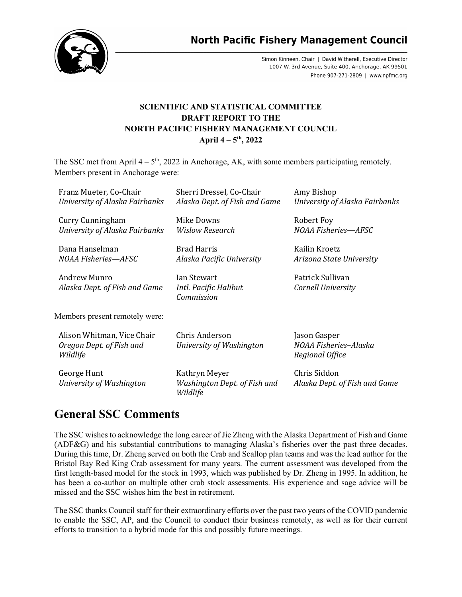

**North Pacific Fishery Management Council** 

Simon Kinneen, Chair | David Witherell, Executive Director 1007 W. 3rd Avenue, Suite 400, Anchorage, AK 99501 Phone 907-271-2809 | www.npfmc.org

### **SCIENTIFIC AND STATISTICAL COMMITTEE DRAFT REPORT TO THE NORTH PACIFIC FISHERY MANAGEMENT COUNCIL April 4 – 5th, 2022**

The SSC met from April  $4 - 5<sup>th</sup>$ , 2022 in Anchorage, AK, with some members participating remotely. Members present in Anchorage were:

| Franz Mueter, Co-Chair<br>University of Alaska Fairbanks           | Sherri Dressel, Co-Chair<br>Alaska Dept. of Fish and Game | Amy Bishop<br>University of Alaska Fairbanks             |
|--------------------------------------------------------------------|-----------------------------------------------------------|----------------------------------------------------------|
| Curry Cunningham<br>University of Alaska Fairbanks                 | Mike Downs<br><b>Wislow Research</b>                      | Robert Foy<br>NOAA Fisheries-AFSC                        |
| Dana Hanselman<br>NOAA Fisheries—AFSC                              | <b>Brad Harris</b><br>Alaska Pacific University           | Kailin Kroetz<br>Arizona State University                |
| Andrew Munro<br>Alaska Dept. of Fish and Game                      | Ian Stewart<br>Intl. Pacific Halibut<br>Commission        | Patrick Sullivan<br>Cornell University                   |
| Members present remotely were:                                     |                                                           |                                                          |
| Alison Whitman, Vice Chair<br>Oregon Dept. of Fish and<br>Wildlife | Chris Anderson<br>University of Washington                | Jason Gasper<br>NOAA Fisheries-Alaska<br>Regional Office |
| George Hunt<br>University of Washington                            | Kathryn Meyer<br>Washington Dept. of Fish and<br>Wildlife | Chris Siddon<br>Alaska Dept. of Fish and Game            |

# **General SSC Comments**

The SSC wishes to acknowledge the long career of Jie Zheng with the Alaska Department of Fish and Game (ADF&G) and his substantial contributions to managing Alaska's fisheries over the past three decades. During this time, Dr. Zheng served on both the Crab and Scallop plan teams and was the lead author for the Bristol Bay Red King Crab assessment for many years. The current assessment was developed from the first length-based model for the stock in 1993, which was published by Dr. Zheng in 1995. In addition, he has been a co-author on multiple other crab stock assessments. His experience and sage advice will be missed and the SSC wishes him the best in retirement.

The SSC thanks Council staff for their extraordinary efforts over the past two years of the COVID pandemic to enable the SSC, AP, and the Council to conduct their business remotely, as well as for their current efforts to transition to a hybrid mode for this and possibly future meetings.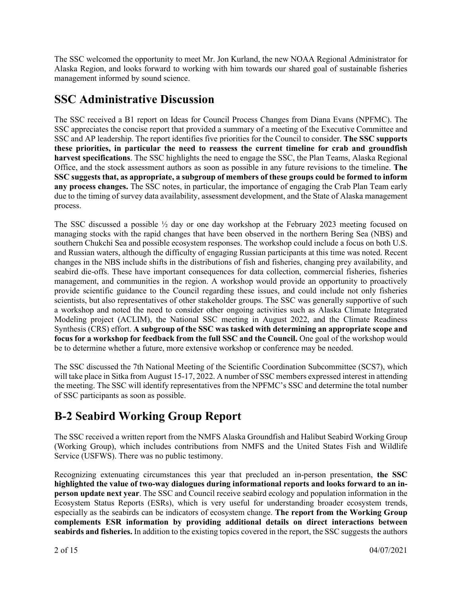The SSC welcomed the opportunity to meet Mr. Jon Kurland, the new NOAA Regional Administrator for Alaska Region, and looks forward to working with him towards our shared goal of sustainable fisheries management informed by sound science.

# **SSC Administrative Discussion**

The SSC received a B1 report on Ideas for Council Process Changes from Diana Evans (NPFMC). The SSC appreciates the concise report that provided a summary of a meeting of the Executive Committee and SSC and AP leadership. The report identifies five priorities for the Council to consider. **The SSC supports these priorities, in particular the need to reassess the current timeline for crab and groundfish harvest specifications**. The SSC highlights the need to engage the SSC, the Plan Teams, Alaska Regional Office, and the stock assessment authors as soon as possible in any future revisions to the timeline. **The SSC suggests that, as appropriate, a subgroup of members of these groups could be formed to inform any process changes.** The SSC notes, in particular, the importance of engaging the Crab Plan Team early due to the timing of survey data availability, assessment development, and the State of Alaska management process.

The SSC discussed a possible  $\frac{1}{2}$  day or one day workshop at the February 2023 meeting focused on managing stocks with the rapid changes that have been observed in the northern Bering Sea (NBS) and southern Chukchi Sea and possible ecosystem responses. The workshop could include a focus on both U.S. and Russian waters, although the difficulty of engaging Russian participants at this time was noted. Recent changes in the NBS include shifts in the distributions of fish and fisheries, changing prey availability, and seabird die-offs. These have important consequences for data collection, commercial fisheries, fisheries management, and communities in the region. A workshop would provide an opportunity to proactively provide scientific guidance to the Council regarding these issues, and could include not only fisheries scientists, but also representatives of other stakeholder groups. The SSC was generally supportive of such a workshop and noted the need to consider other ongoing activities such as Alaska Climate Integrated Modeling project (ACLIM), the National SSC meeting in August 2022, and the Climate Readiness Synthesis (CRS) effort. **A subgroup of the SSC was tasked with determining an appropriate scope and focus for a workshop for feedback from the full SSC and the Council.** One goal of the workshop would be to determine whether a future, more extensive workshop or conference may be needed.

The SSC discussed the 7th National Meeting of the Scientific Coordination Subcommittee (SCS7), which will take place in Sitka from August 15-17, 2022. A number of SSC members expressed interest in attending the meeting. The SSC will identify representatives from the NPFMC's SSC and determine the total number of SSC participants as soon as possible.

# **B-2 Seabird Working Group Report**

The SSC received a written report from the NMFS Alaska Groundfish and Halibut Seabird Working Group (Working Group), which includes contributions from NMFS and the United States Fish and Wildlife Service (USFWS). There was no public testimony.

Recognizing extenuating circumstances this year that precluded an in-person presentation, **the SSC highlighted the value of two-way dialogues during informational reports and looks forward to an inperson update next year**. The SSC and Council receive seabird ecology and population information in the Ecosystem Status Reports (ESRs), which is very useful for understanding broader ecosystem trends, especially as the seabirds can be indicators of ecosystem change. **The report from the Working Group complements ESR information by providing additional details on direct interactions between seabirds and fisheries.** In addition to the existing topics covered in the report, the SSC suggests the authors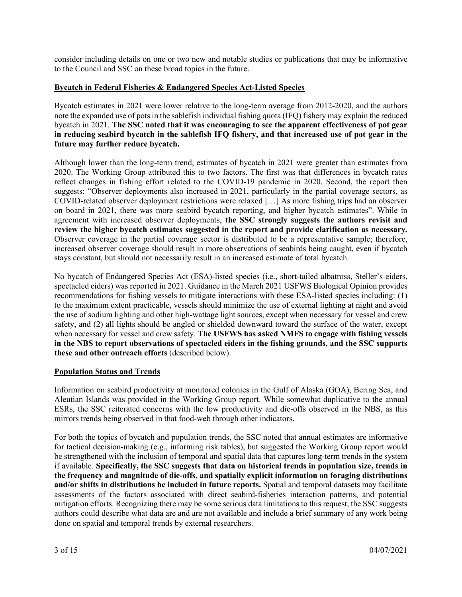consider including details on one or two new and notable studies or publications that may be informative to the Council and SSC on these broad topics in the future.

#### **Bycatch in Federal Fisheries & Endangered Species Act-Listed Species**

Bycatch estimates in 2021 were lower relative to the long-term average from 2012-2020, and the authors note the expanded use of pots in the sablefish individual fishing quota (IFQ) fishery may explain the reduced bycatch in 2021. **The SSC noted that it was encouraging to see the apparent effectiveness of pot gear in reducing seabird bycatch in the sablefish IFQ fishery, and that increased use of pot gear in the future may further reduce bycatch.**

Although lower than the long-term trend, estimates of bycatch in 2021 were greater than estimates from 2020. The Working Group attributed this to two factors. The first was that differences in bycatch rates reflect changes in fishing effort related to the COVID-19 pandemic in 2020. Second, the report then suggests: "Observer deployments also increased in 2021, particularly in the partial coverage sectors, as COVID-related observer deployment restrictions were relaxed […] As more fishing trips had an observer on board in 2021, there was more seabird bycatch reporting, and higher bycatch estimates". While in agreement with increased observer deployments, **the SSC strongly suggests the authors revisit and review the higher bycatch estimates suggested in the report and provide clarification as necessary.** Observer coverage in the partial coverage sector is distributed to be a representative sample; therefore, increased observer coverage should result in more observations of seabirds being caught, even if bycatch stays constant, but should not necessarily result in an increased estimate of total bycatch.

No bycatch of Endangered Species Act (ESA)-listed species (i.e., short-tailed albatross, Steller's eiders, spectacled eiders) was reported in 2021. Guidance in the March 2021 USFWS Biological Opinion provides recommendations for fishing vessels to mitigate interactions with these ESA-listed species including: (1) to the maximum extent practicable, vessels should minimize the use of external lighting at night and avoid the use of sodium lighting and other high-wattage light sources, except when necessary for vessel and crew safety, and (2) all lights should be angled or shielded downward toward the surface of the water, except when necessary for vessel and crew safety. **The USFWS has asked NMFS to engage with fishing vessels in the NBS to report observations of spectacled eiders in the fishing grounds, and the SSC supports these and other outreach efforts** (described below).

#### **Population Status and Trends**

Information on seabird productivity at monitored colonies in the Gulf of Alaska (GOA), Bering Sea, and Aleutian Islands was provided in the Working Group report. While somewhat duplicative to the annual ESRs, the SSC reiterated concerns with the low productivity and die-offs observed in the NBS, as this mirrors trends being observed in that food-web through other indicators.

For both the topics of bycatch and population trends, the SSC noted that annual estimates are informative for tactical decision-making (e.g., informing risk tables), but suggested the Working Group report would be strengthened with the inclusion of temporal and spatial data that captures long-term trends in the system if available. **Specifically, the SSC suggests that data on historical trends in population size, trends in the frequency and magnitude of die-offs, and spatially explicit information on foraging distributions and/or shifts in distributions be included in future reports.** Spatial and temporal datasets may facilitate assessments of the factors associated with direct seabird-fisheries interaction patterns, and potential mitigation efforts. Recognizing there may be some serious data limitations to this request, the SSC suggests authors could describe what data are and are not available and include a brief summary of any work being done on spatial and temporal trends by external researchers.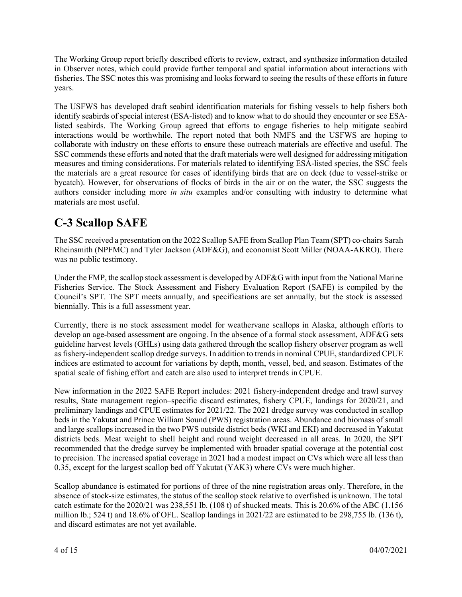The Working Group report briefly described efforts to review, extract, and synthesize information detailed in Observer notes, which could provide further temporal and spatial information about interactions with fisheries. The SSC notes this was promising and looks forward to seeing the results of these efforts in future years.

The USFWS has developed draft seabird identification materials for fishing vessels to help fishers both identify seabirds of special interest (ESA-listed) and to know what to do should they encounter or see ESAlisted seabirds. The Working Group agreed that efforts to engage fisheries to help mitigate seabird interactions would be worthwhile. The report noted that both NMFS and the USFWS are hoping to collaborate with industry on these efforts to ensure these outreach materials are effective and useful. The SSC commends these efforts and noted that the draft materials were well designed for addressing mitigation measures and timing considerations. For materials related to identifying ESA-listed species, the SSC feels the materials are a great resource for cases of identifying birds that are on deck (due to vessel-strike or bycatch). However, for observations of flocks of birds in the air or on the water, the SSC suggests the authors consider including more *in situ* examples and/or consulting with industry to determine what materials are most useful.

# **C-3 Scallop SAFE**

The SSC received a presentation on the 2022 Scallop SAFE from Scallop Plan Team (SPT) co-chairs Sarah Rheinsmith (NPFMC) and Tyler Jackson (ADF&G), and economist Scott Miller (NOAA-AKRO). There was no public testimony.

Under the FMP, the scallop stock assessment is developed by ADF&G with input from the National Marine Fisheries Service. The Stock Assessment and Fishery Evaluation Report (SAFE) is compiled by the Council's SPT. The SPT meets annually, and specifications are set annually, but the stock is assessed biennially. This is a full assessment year.

Currently, there is no stock assessment model for weathervane scallops in Alaska, although efforts to develop an age-based assessment are ongoing. In the absence of a formal stock assessment, ADF&G sets guideline harvest levels (GHLs) using data gathered through the scallop fishery observer program as well as fishery-independent scallop dredge surveys. In addition to trends in nominal CPUE, standardized CPUE indices are estimated to account for variations by depth, month, vessel, bed, and season. Estimates of the spatial scale of fishing effort and catch are also used to interpret trends in CPUE.

New information in the 2022 SAFE Report includes: 2021 fishery-independent dredge and trawl survey results, State management region–specific discard estimates, fishery CPUE, landings for 2020/21, and preliminary landings and CPUE estimates for 2021/22. The 2021 dredge survey was conducted in scallop beds in the Yakutat and Prince William Sound (PWS) registration areas. Abundance and biomass of small and large scallops increased in the two PWS outside district beds (WKI and EKI) and decreased in Yakutat districts beds. Meat weight to shell height and round weight decreased in all areas. In 2020, the SPT recommended that the dredge survey be implemented with broader spatial coverage at the potential cost to precision. The increased spatial coverage in 2021 had a modest impact on CVs which were all less than 0.35, except for the largest scallop bed off Yakutat (YAK3) where CVs were much higher.

Scallop abundance is estimated for portions of three of the nine registration areas only. Therefore, in the absence of stock-size estimates, the status of the scallop stock relative to overfished is unknown. The total catch estimate for the 2020/21 was 238,551 lb. (108 t) of shucked meats. This is 20.6% of the ABC (1.156 million lb.; 524 t) and 18.6% of OFL. Scallop landings in  $2021/22$  are estimated to be 298,755 lb. (136 t), and discard estimates are not yet available.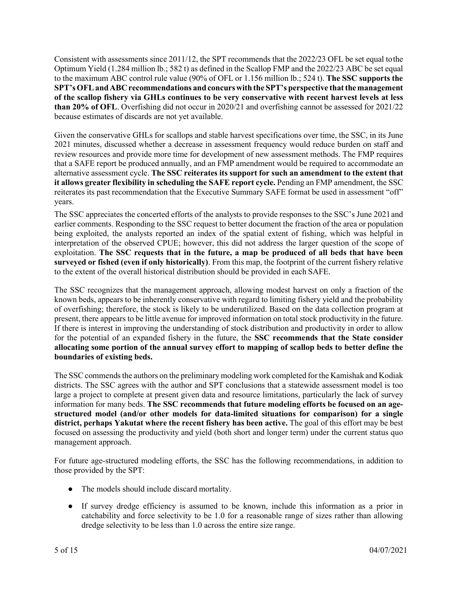Consistent with assessments since 2011/12, the SPT recommends that the 2022/23 OFL be set equal tothe Optimum Yield (1.284 million lb.; 582 t) as defined in the Scallop FMP and the 2022/23 ABC be set equal to the maximum ABC control rule value (90% of OFL or 1.156 million lb.; 524 t). **The SSC supports the SPT'sOFLandABCrecommendations and concurswiththe SPT's perspective thatthe management of the scallop fishery via GHLs continues to be very conservative with recent harvest levels at less than 20% of OFL**. Overfishing did not occur in 2020/21 and overfishing cannot be assessed for 2021/22 because estimates of discards are not yet available.

Given the conservative GHLs for scallops and stable harvest specifications over time, the SSC, in its June 2021 minutes, discussed whether a decrease in assessment frequency would reduce burden on staff and review resources and provide more time for development of new assessment methods. The FMP requires that a SAFE report be produced annually, and an FMP amendment would be required to accommodate an alternative assessment cycle. **The SSC reiterates its support for such an amendment to the extent that it allows greater flexibility in scheduling the SAFE report cycle.** Pending an FMP amendment, the SSC reiterates its past recommendation that the Executive Summary SAFE format be used in assessment "off" years.

The SSC appreciates the concerted efforts of the analysts to provide responses to the SSC's June 2021and earlier comments. Responding to the SSC request to better document the fraction of the area or population being exploited, the analysts reported an index of the spatial extent of fishing, which was helpful in interpretation of the observed CPUE; however, this did not address the larger question of the scope of exploitation. **The SSC requests that in the future, a map be produced of all beds that have been surveyed or fished (even if only historically)**. From this map, the footprint of the current fishery relative to the extent of the overall historical distribution should be provided in each SAFE.

The SSC recognizes that the management approach, allowing modest harvest on only a fraction of the known beds, appears to be inherently conservative with regard to limiting fishery yield and the probability of overfishing; therefore, the stock is likely to be underutilized. Based on the data collection program at present, there appears to be little avenue for improved information on total stock productivity in the future. If there is interest in improving the understanding of stock distribution and productivity in order to allow for the potential of an expanded fishery in the future, the **SSC recommends that the State consider allocating some portion of the annual survey effort to mapping of scallop beds to better define the boundaries of existing beds.**

The SSCcommendsthe authors on the preliminarymodeling work completed for the Kamishak and Kodiak districts. The SSC agrees with the author and SPT conclusions that a statewide assessment model is too large a project to complete at present given data and resource limitations, particularly the lack of survey information for many beds. **The SSC recommends that future modeling efforts be focused on an agestructured model (and/or other models for data-limited situations for comparison) for a single district, perhaps Yakutat where the recent fishery has been active.** The goal of this effort may be best focused on assessing the productivity and yield (both short and longer term) under the current status quo management approach.

For future age-structured modeling efforts, the SSC has the following recommendations, in addition to those provided by the SPT:

- The models should include discard mortality.
- If survey dredge efficiency is assumed to be known, include this information as a prior in catchability and force selectivity to be 1.0 for a reasonable range of sizes rather than allowing dredge selectivity to be less than 1.0 across the entire size range.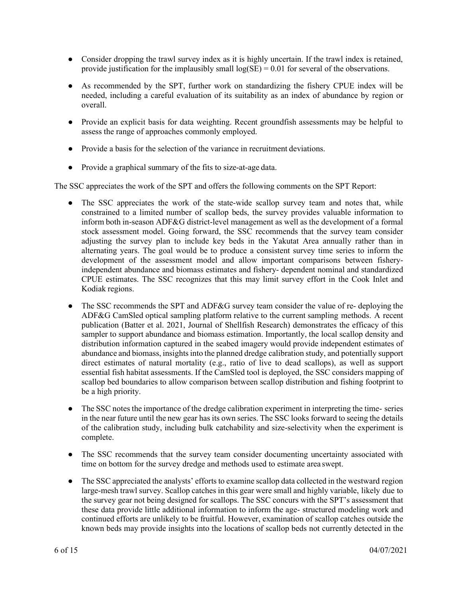- Consider dropping the trawl survey index as it is highly uncertain. If the trawl index is retained, provide justification for the implausibly small  $log(SE) = 0.01$  for several of the observations.
- As recommended by the SPT, further work on standardizing the fishery CPUE index will be needed, including a careful evaluation of its suitability as an index of abundance by region or overall.
- Provide an explicit basis for data weighting. Recent groundfish assessments may be helpful to assess the range of approaches commonly employed.
- Provide a basis for the selection of the variance in recruitment deviations.
- Provide a graphical summary of the fits to size-at-age data.

The SSC appreciates the work of the SPT and offers the following comments on the SPT Report:

- The SSC appreciates the work of the state-wide scallop survey team and notes that, while constrained to a limited number of scallop beds, the survey provides valuable information to inform both in-season ADF&G district-level management as well as the development of a formal stock assessment model. Going forward, the SSC recommends that the survey team consider adjusting the survey plan to include key beds in the Yakutat Area annually rather than in alternating years. The goal would be to produce a consistent survey time series to inform the development of the assessment model and allow important comparisons between fisheryindependent abundance and biomass estimates and fishery- dependent nominal and standardized CPUE estimates. The SSC recognizes that this may limit survey effort in the Cook Inlet and Kodiak regions.
- The SSC recommends the SPT and ADF&G survey team consider the value of re- deploying the ADF&G CamSled optical sampling platform relative to the current sampling methods. A recent publication (Batter et al. 2021, Journal of Shellfish Research) demonstrates the efficacy of this sampler to support abundance and biomass estimation. Importantly, the local scallop density and distribution information captured in the seabed imagery would provide independent estimates of abundance and biomass, insights into the planned dredge calibration study, and potentially support direct estimates of natural mortality (e.g., ratio of live to dead scallops), as well as support essential fish habitat assessments. If the CamSled tool is deployed, the SSC considers mapping of scallop bed boundaries to allow comparison between scallop distribution and fishing footprint to be a high priority.
- The SSC notes the importance of the dredge calibration experiment in interpreting the time- series in the near future until the new gear has its own series. The SSC looks forward to seeing the details of the calibration study, including bulk catchability and size-selectivity when the experiment is complete.
- The SSC recommends that the survey team consider documenting uncertainty associated with time on bottom for the survey dredge and methods used to estimate area swept.
- The SSC appreciated the analysts' efforts to examine scallop data collected in the westward region large-mesh trawl survey. Scallop catches in this gear were small and highly variable, likely due to the survey gear not being designed for scallops. The SSC concurs with the SPT's assessment that these data provide little additional information to inform the age- structured modeling work and continued efforts are unlikely to be fruitful. However, examination of scallop catches outside the known beds may provide insights into the locations of scallop beds not currently detected in the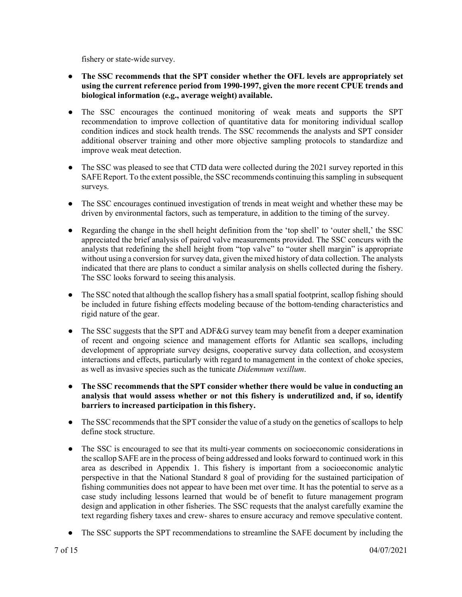fishery or state-wide survey.

- **The SSC recommends that the SPT consider whether the OFL levels are appropriately set using the current reference period from 1990-1997, given the more recent CPUE trends and biological information (e.g., average weight) available.**
- The SSC encourages the continued monitoring of weak meats and supports the SPT recommendation to improve collection of quantitative data for monitoring individual scallop condition indices and stock health trends. The SSC recommends the analysts and SPT consider additional observer training and other more objective sampling protocols to standardize and improve weak meat detection.
- The SSC was pleased to see that CTD data were collected during the 2021 survey reported in this SAFE Report. To the extent possible, the SSC recommends continuing this sampling in subsequent surveys.
- The SSC encourages continued investigation of trends in meat weight and whether these may be driven by environmental factors, such as temperature, in addition to the timing of the survey.
- Regarding the change in the shell height definition from the 'top shell' to 'outer shell,' the SSC appreciated the brief analysis of paired valve measurements provided. The SSC concurs with the analysts that redefining the shell height from "top valve" to "outer shell margin" is appropriate without using a conversion for survey data, given the mixed history of data collection. The analysts indicated that there are plans to conduct a similar analysis on shells collected during the fishery. The SSC looks forward to seeing this analysis.
- $\bullet$  The SSC noted that although the scallop fishery has a small spatial footprint, scallop fishing should be included in future fishing effects modeling because of the bottom-tending characteristics and rigid nature of the gear.
- The SSC suggests that the SPT and ADF&G survey team may benefit from a deeper examination of recent and ongoing science and management efforts for Atlantic sea scallops, including development of appropriate survey designs, cooperative survey data collection, and ecosystem interactions and effects, particularly with regard to management in the context of choke species, as well as invasive species such as the tunicate *Didemnum vexillum*.
- **The SSC recommends that the SPT consider whether there would be value in conducting an analysis that would assess whether or not this fishery is underutilized and, if so, identify barriers to increased participation in thisfishery.**
- The SSC recommends that the SPT consider the value of a study on the genetics of scallops to help define stock structure.
- The SSC is encouraged to see that its multi-year comments on socioeconomic considerations in the scallop SAFE are in the process of being addressed and looks forward to continued work in this area as described in Appendix 1. This fishery is important from a socioeconomic analytic perspective in that the National Standard 8 goal of providing for the sustained participation of fishing communities does not appear to have been met over time. It has the potential to serve as a case study including lessons learned that would be of benefit to future management program design and application in other fisheries. The SSC requests that the analyst carefully examine the text regarding fishery taxes and crew- shares to ensure accuracy and remove speculative content.
- The SSC supports the SPT recommendations to streamline the SAFE document by including the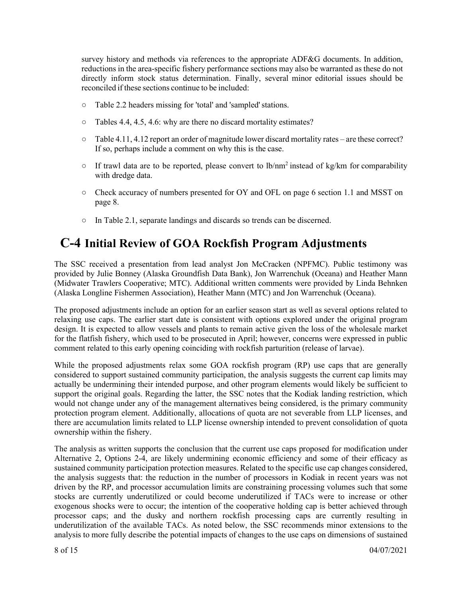survey history and methods via references to the appropriate ADF&G documents. In addition, reductions in the area-specific fishery performance sections may also be warranted as these do not directly inform stock status determination. Finally, several minor editorial issues should be reconciled if these sections continue to be included:

- Table 2.2 headers missing for 'total' and 'sampled'stations.
- Tables 4.4, 4.5, 4.6: why are there no discard mortality estimates?
- $\circ$  Table 4.11, 4.12 report an order of magnitude lower discard mortality rates are these correct? If so, perhaps include a comment on why this is the case.
- $\circ$  If trawl data are to be reported, please convert to lb/nm<sup>2</sup> instead of kg/km for comparability with dredge data.
- Check accuracy of numbers presented for OY and OFL on page 6 section 1.1 and MSST on page 8.
- In Table 2.1, separate landings and discards so trends can be discerned.

# **C-4 Initial Review of GOA Rockfish Program Adjustments**

The SSC received a presentation from lead analyst Jon McCracken (NPFMC). Public testimony was provided by Julie Bonney (Alaska Groundfish Data Bank), Jon Warrenchuk (Oceana) and Heather Mann (Midwater Trawlers Cooperative; MTC). Additional written comments were provided by Linda Behnken (Alaska Longline Fishermen Association), Heather Mann (MTC) and Jon Warrenchuk (Oceana).

The proposed adjustments include an option for an earlier season start as well as several options related to relaxing use caps. The earlier start date is consistent with options explored under the original program design. It is expected to allow vessels and plants to remain active given the loss of the wholesale market for the flatfish fishery, which used to be prosecuted in April; however, concerns were expressed in public comment related to this early opening coinciding with rockfish parturition (release of larvae).

While the proposed adjustments relax some GOA rockfish program (RP) use caps that are generally considered to support sustained community participation, the analysis suggests the current cap limits may actually be undermining their intended purpose, and other program elements would likely be sufficient to support the original goals. Regarding the latter, the SSC notes that the Kodiak landing restriction, which would not change under any of the management alternatives being considered, is the primary community protection program element. Additionally, allocations of quota are not severable from LLP licenses, and there are accumulation limits related to LLP license ownership intended to prevent consolidation of quota ownership within the fishery.

The analysis as written supports the conclusion that the current use caps proposed for modification under Alternative 2, Options 2-4, are likely undermining economic efficiency and some of their efficacy as sustained community participation protection measures. Related to the specific use cap changes considered, the analysis suggests that: the reduction in the number of processors in Kodiak in recent years was not driven by the RP, and processor accumulation limits are constraining processing volumes such that some stocks are currently underutilized or could become underutilized if TACs were to increase or other exogenous shocks were to occur; the intention of the cooperative holding cap is better achieved through processor caps; and the dusky and northern rockfish processing caps are currently resulting in underutilization of the available TACs. As noted below, the SSC recommends minor extensions to the analysis to more fully describe the potential impacts of changes to the use caps on dimensions of sustained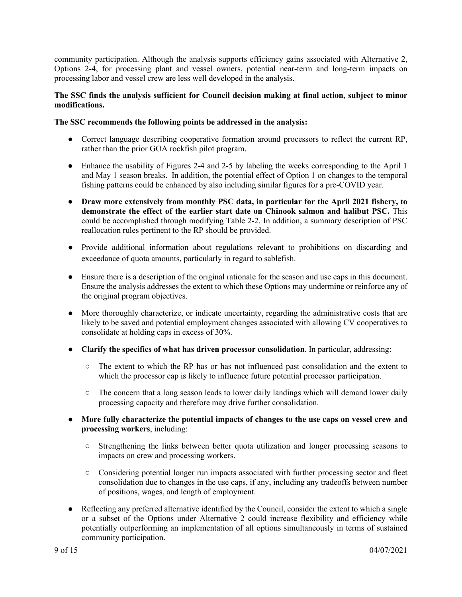community participation. Although the analysis supports efficiency gains associated with Alternative 2, Options 2-4, for processing plant and vessel owners, potential near-term and long-term impacts on processing labor and vessel crew are less well developed in the analysis.

#### **The SSC finds the analysis sufficient for Council decision making at final action, subject to minor modifications.**

#### **The SSC recommends the following points be addressed in the analysis:**

- Correct language describing cooperative formation around processors to reflect the current RP, rather than the prior GOA rockfish pilot program.
- Enhance the usability of Figures 2-4 and 2-5 by labeling the weeks corresponding to the April 1 and May 1 season breaks. In addition, the potential effect of Option 1 on changes to the temporal fishing patterns could be enhanced by also including similar figures for a pre-COVID year.
- **Draw more extensively from monthly PSC data, in particular for the April 2021 fishery, to demonstrate the effect of the earlier start date on Chinook salmon and halibut PSC.** This could be accomplished through modifying Table 2-2. In addition, a summary description of PSC reallocation rules pertinent to the RP should be provided.
- Provide additional information about regulations relevant to prohibitions on discarding and exceedance of quota amounts, particularly in regard to sablefish.
- Ensure there is a description of the original rationale for the season and use caps in this document. Ensure the analysis addresses the extent to which these Options may undermine or reinforce any of the original program objectives.
- More thoroughly characterize, or indicate uncertainty, regarding the administrative costs that are likely to be saved and potential employment changes associated with allowing CV cooperatives to consolidate at holding caps in excess of 30%.
- **Clarify the specifics of what has driven processor consolidation**. In particular, addressing:
	- The extent to which the RP has or has not influenced past consolidation and the extent to which the processor cap is likely to influence future potential processor participation.
	- The concern that a long season leads to lower daily landings which will demand lower daily processing capacity and therefore may drive further consolidation.
- **More fully characterize the potential impacts of changes to the use caps on vessel crew and processing workers**, including:
	- Strengthening the links between better quota utilization and longer processing seasons to impacts on crew and processing workers.
	- Considering potential longer run impacts associated with further processing sector and fleet consolidation due to changes in the use caps, if any, including any tradeoffs between number of positions, wages, and length of employment.
- Reflecting any preferred alternative identified by the Council, consider the extent to which a single or a subset of the Options under Alternative 2 could increase flexibility and efficiency while potentially outperforming an implementation of all options simultaneously in terms of sustained community participation.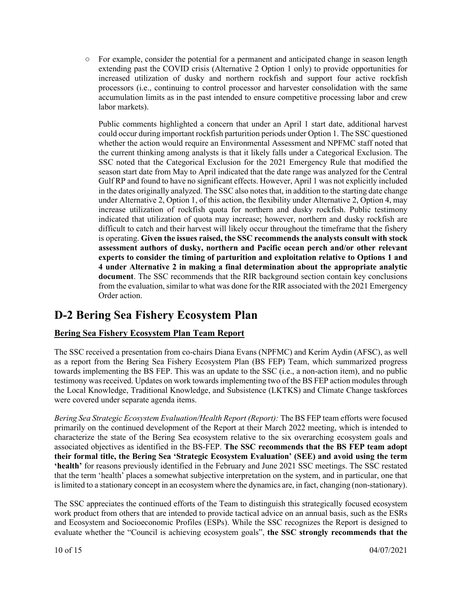○ For example, consider the potential for a permanent and anticipated change in season length extending past the COVID crisis (Alternative 2 Option 1 only) to provide opportunities for increased utilization of dusky and northern rockfish and support four active rockfish processors (i.e., continuing to control processor and harvester consolidation with the same accumulation limits as in the past intended to ensure competitive processing labor and crew labor markets).

Public comments highlighted a concern that under an April 1 start date, additional harvest could occur during important rockfish parturition periods under Option 1. The SSC questioned whether the action would require an Environmental Assessment and NPFMC staff noted that the current thinking among analysts is that it likely falls under a Categorical Exclusion. The SSC noted that the Categorical Exclusion for the 2021 Emergency Rule that modified the season start date from May to April indicated that the date range was analyzed for the Central Gulf RP and found to have no significant effects. However, April 1 was not explicitly included in the dates originally analyzed. The SSC also notes that, in addition to the starting date change under Alternative 2, Option 1, of this action, the flexibility under Alternative 2, Option 4, may increase utilization of rockfish quota for northern and dusky rockfish. Public testimony indicated that utilization of quota may increase; however, northern and dusky rockfish are difficult to catch and their harvest will likely occur throughout the timeframe that the fishery is operating. **Given the issues raised, the SSC recommends the analysts consult with stock assessment authors of dusky, northern and Pacific ocean perch and/or other relevant experts to consider the timing of parturition and exploitation relative to Options 1 and 4 under Alternative 2 in making a final determination about the appropriate analytic document**. The SSC recommends that the RIR background section contain key conclusions from the evaluation, similar to what was done for the RIR associated with the 2021 Emergency Order action.

# **D-2 Bering Sea Fishery Ecosystem Plan**

### **Bering Sea Fishery Ecosystem Plan Team Report**

The SSC received a presentation from co-chairs Diana Evans (NPFMC) and Kerim Aydin (AFSC), as well as a report from the Bering Sea Fishery Ecosystem Plan (BS FEP) Team, which summarized progress towards implementing the BS FEP. This was an update to the SSC (i.e., a non-action item), and no public testimony was received. Updates on work towards implementing two of the BS FEP action modules through the Local Knowledge, Traditional Knowledge, and Subsistence (LKTKS) and Climate Change taskforces were covered under separate agenda items.

*Bering Sea Strategic Ecosystem Evaluation/Health Report (Report):* The BS FEP team efforts were focused primarily on the continued development of the Report at their March 2022 meeting, which is intended to characterize the state of the Bering Sea ecosystem relative to the six overarching ecosystem goals and associated objectives as identified in the BS-FEP. **The SSC recommends that the BS FEP team adopt their formal title, the Bering Sea 'Strategic Ecosystem Evaluation' (SEE) and avoid using the term 'health'** for reasons previously identified in the February and June 2021 SSC meetings. The SSC restated that the term 'health' places a somewhat subjective interpretation on the system, and in particular, one that is limited to a stationary concept in an ecosystem where the dynamics are, in fact, changing (non-stationary).

The SSC appreciates the continued efforts of the Team to distinguish this strategically focused ecosystem work product from others that are intended to provide tactical advice on an annual basis, such as the ESRs and Ecosystem and Socioeconomic Profiles (ESPs). While the SSC recognizes the Report is designed to evaluate whether the "Council is achieving ecosystem goals", **the SSC strongly recommends that the**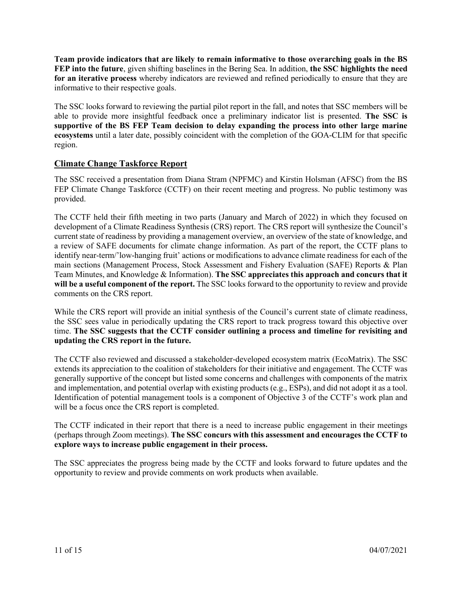**Team provide indicators that are likely to remain informative to those overarching goals in the BS FEP into the future**, given shifting baselines in the Bering Sea. In addition, **the SSC highlights the need for an iterative process** whereby indicators are reviewed and refined periodically to ensure that they are informative to their respective goals.

The SSC looks forward to reviewing the partial pilot report in the fall, and notes that SSC members will be able to provide more insightful feedback once a preliminary indicator list is presented. **The SSC is supportive of the BS FEP Team decision to delay expanding the process into other large marine ecosystems** until a later date, possibly coincident with the completion of the GOA-CLIM for that specific region.

### **Climate Change Taskforce Report**

The SSC received a presentation from Diana Stram (NPFMC) and Kirstin Holsman (AFSC) from the BS FEP Climate Change Taskforce (CCTF) on their recent meeting and progress. No public testimony was provided.

The CCTF held their fifth meeting in two parts (January and March of 2022) in which they focused on development of a Climate Readiness Synthesis (CRS) report. The CRS report will synthesize the Council's current state of readiness by providing a management overview, an overview of the state of knowledge, and a review of SAFE documents for climate change information. As part of the report, the CCTF plans to identify near-term/'low-hanging fruit' actions or modifications to advance climate readiness for each of the main sections (Management Process, Stock Assessment and Fishery Evaluation (SAFE) Reports & Plan Team Minutes, and Knowledge & Information). **The SSC appreciates this approach and concurs that it will be a useful component of the report.** The SSC looks forward to the opportunity to review and provide comments on the CRS report.

While the CRS report will provide an initial synthesis of the Council's current state of climate readiness, the SSC sees value in periodically updating the CRS report to track progress toward this objective over time. **The SSC suggests that the CCTF consider outlining a process and timeline for revisiting and updating the CRS report in the future.**

The CCTF also reviewed and discussed a stakeholder-developed ecosystem matrix (EcoMatrix). The SSC extends its appreciation to the coalition of stakeholders for their initiative and engagement. The CCTF was generally supportive of the concept but listed some concerns and challenges with components of the matrix and implementation, and potential overlap with existing products (e.g., ESPs), and did not adopt it as a tool. Identification of potential management tools is a component of Objective 3 of the CCTF's work plan and will be a focus once the CRS report is completed.

The CCTF indicated in their report that there is a need to increase public engagement in their meetings (perhaps through Zoom meetings). **The SSC concurs with this assessment and encourages the CCTF to explore ways to increase public engagement in their process.**

The SSC appreciates the progress being made by the CCTF and looks forward to future updates and the opportunity to review and provide comments on work products when available.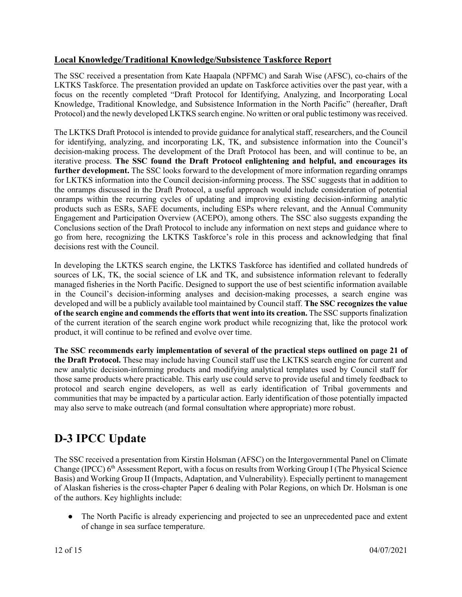### **Local Knowledge/Traditional Knowledge/Subsistence Taskforce Report**

The SSC received a presentation from Kate Haapala (NPFMC) and Sarah Wise (AFSC), co-chairs of the LKTKS Taskforce. The presentation provided an update on Taskforce activities over the past year, with a focus on the recently completed "Draft Protocol for Identifying, Analyzing, and Incorporating Local Knowledge, Traditional Knowledge, and Subsistence Information in the North Pacific" (hereafter, Draft Protocol) and the newly developed LKTKS search engine. No written or oral public testimony was received.

The LKTKS Draft Protocol is intended to provide guidance for analytical staff, researchers, and the Council for identifying, analyzing, and incorporating LK, TK, and subsistence information into the Council's decision-making process. The development of the Draft Protocol has been, and will continue to be, an iterative process. **The SSC found the Draft Protocol enlightening and helpful, and encourages its further development.** The SSC looks forward to the development of more information regarding onramps for LKTKS information into the Council decision-informing process. The SSC suggests that in addition to the onramps discussed in the Draft Protocol, a useful approach would include consideration of potential onramps within the recurring cycles of updating and improving existing decision-informing analytic products such as ESRs, SAFE documents, including ESPs where relevant, and the Annual Community Engagement and Participation Overview (ACEPO), among others. The SSC also suggests expanding the Conclusions section of the Draft Protocol to include any information on next steps and guidance where to go from here, recognizing the LKTKS Taskforce's role in this process and acknowledging that final decisions rest with the Council.

In developing the LKTKS search engine, the LKTKS Taskforce has identified and collated hundreds of sources of LK, TK, the social science of LK and TK, and subsistence information relevant to federally managed fisheries in the North Pacific. Designed to support the use of best scientific information available in the Council's decision-informing analyses and decision-making processes, a search engine was developed and will be a publicly available tool maintained by Council staff. **The SSC recognizes the value of the search engine and commends the efforts that went into its creation.** The SSC supports finalization of the current iteration of the search engine work product while recognizing that, like the protocol work product, it will continue to be refined and evolve over time.

**The SSC recommends early implementation of several of the practical steps outlined on page 21 of the Draft Protocol.** These may include having Council staff use the LKTKS search engine for current and new analytic decision-informing products and modifying analytical templates used by Council staff for those same products where practicable. This early use could serve to provide useful and timely feedback to protocol and search engine developers, as well as early identification of Tribal governments and communities that may be impacted by a particular action. Early identification of those potentially impacted may also serve to make outreach (and formal consultation where appropriate) more robust.

# **D-3 IPCC Update**

The SSC received a presentation from Kirstin Holsman (AFSC) on the Intergovernmental Panel on Climate Change (IPCC) 6<sup>th</sup> Assessment Report, with a focus on results from Working Group I (The Physical Science Basis) and Working Group II (Impacts, Adaptation, and Vulnerability). Especially pertinent to management of Alaskan fisheries is the cross-chapter Paper 6 dealing with Polar Regions, on which Dr. Holsman is one of the authors. Key highlights include:

• The North Pacific is already experiencing and projected to see an unprecedented pace and extent of change in sea surface temperature.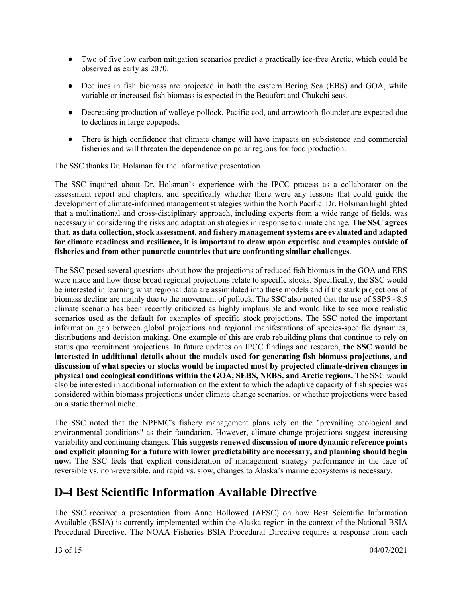- Two of five low carbon mitigation scenarios predict a practically ice-free Arctic, which could be observed as early as 2070.
- Declines in fish biomass are projected in both the eastern Bering Sea (EBS) and GOA, while variable or increased fish biomass is expected in the Beaufort and Chukchi seas.
- Decreasing production of walleye pollock, Pacific cod, and arrowtooth flounder are expected due to declines in large copepods.
- There is high confidence that climate change will have impacts on subsistence and commercial fisheries and will threaten the dependence on polar regions for food production.

The SSC thanks Dr. Holsman for the informative presentation.

The SSC inquired about Dr. Holsman's experience with the IPCC process as a collaborator on the assessment report and chapters, and specifically whether there were any lessons that could guide the development of climate-informed management strategies within the North Pacific. Dr. Holsman highlighted that a multinational and cross-disciplinary approach, including experts from a wide range of fields, was necessary in considering the risks and adaptation strategies in response to climate change. **The SSC agrees that, as data collection, stock assessment, and fishery management systems are evaluated and adapted for climate readiness and resilience, it is important to draw upon expertise and examples outside of fisheries and from other panarctic countries that are confronting similar challenges**.

The SSC posed several questions about how the projections of reduced fish biomass in the GOA and EBS were made and how those broad regional projections relate to specific stocks. Specifically, the SSC would be interested in learning what regional data are assimilated into these models and if the stark projections of biomass decline are mainly due to the movement of pollock. The SSC also noted that the use of SSP5 - 8.5 climate scenario has been recently criticized as highly implausible and would like to see more realistic scenarios used as the default for examples of specific stock projections. The SSC noted the important information gap between global projections and regional manifestations of species-specific dynamics, distributions and decision-making. One example of this are crab rebuilding plans that continue to rely on status quo recruitment projections. In future updates on IPCC findings and research, **the SSC would be interested in additional details about the models used for generating fish biomass projections, and discussion of what species or stocks would be impacted most by projected climate-driven changes in physical and ecological conditions within the GOA, SEBS, NEBS, and Arctic regions.** The SSC would also be interested in additional information on the extent to which the adaptive capacity of fish species was considered within biomass projections under climate change scenarios, or whether projections were based on a static thermal niche.

The SSC noted that the NPFMC's fishery management plans rely on the "prevailing ecological and environmental conditions" as their foundation. However, climate change projections suggest increasing variability and continuing changes. **This suggests renewed discussion of more dynamic reference points and explicit planning for a future with lower predictability are necessary, and planning should begin now.** The SSC feels that explicit consideration of management strategy performance in the face of reversible vs. non-reversible, and rapid vs. slow, changes to Alaska's marine ecosystems is necessary.

# **D-4 Best Scientific Information Available Directive**

The SSC received a presentation from Anne Hollowed (AFSC) on how Best Scientific Information Available (BSIA) is currently implemented within the Alaska region in the context of the National BSIA Procedural Directive. The NOAA Fisheries BSIA Procedural Directive requires a response from each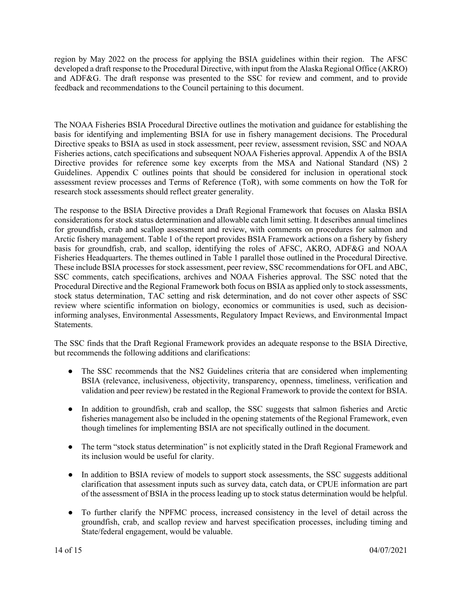region by May 2022 on the process for applying the BSIA guidelines within their region. The AFSC developed a draft response to the Procedural Directive, with input from the Alaska Regional Office (AKRO) and ADF&G. The draft response was presented to the SSC for review and comment, and to provide feedback and recommendations to the Council pertaining to this document.

The NOAA Fisheries BSIA Procedural Directive outlines the motivation and guidance for establishing the basis for identifying and implementing BSIA for use in fishery management decisions. The Procedural Directive speaks to BSIA as used in stock assessment, peer review, assessment revision, SSC and NOAA Fisheries actions, catch specifications and subsequent NOAA Fisheries approval. Appendix A of the BSIA Directive provides for reference some key excerpts from the MSA and National Standard (NS) 2 Guidelines. Appendix C outlines points that should be considered for inclusion in operational stock assessment review processes and Terms of Reference (ToR), with some comments on how the ToR for research stock assessments should reflect greater generality.

The response to the BSIA Directive provides a Draft Regional Framework that focuses on Alaska BSIA considerations for stock status determination and allowable catch limit setting. It describes annual timelines for groundfish, crab and scallop assessment and review, with comments on procedures for salmon and Arctic fishery management. Table 1 of the report provides BSIA Framework actions on a fishery by fishery basis for groundfish, crab, and scallop, identifying the roles of AFSC, AKRO, ADF&G and NOAA Fisheries Headquarters. The themes outlined in Table 1 parallel those outlined in the Procedural Directive. These include BSIA processes for stock assessment, peer review, SSC recommendations for OFL and ABC, SSC comments, catch specifications, archives and NOAA Fisheries approval. The SSC noted that the Procedural Directive and the Regional Framework both focus on BSIA as applied only to stock assessments, stock status determination, TAC setting and risk determination, and do not cover other aspects of SSC review where scientific information on biology, economics or communities is used, such as decisioninforming analyses, Environmental Assessments, Regulatory Impact Reviews, and Environmental Impact Statements.

The SSC finds that the Draft Regional Framework provides an adequate response to the BSIA Directive, but recommends the following additions and clarifications:

- The SSC recommends that the NS2 Guidelines criteria that are considered when implementing BSIA (relevance, inclusiveness, objectivity, transparency, openness, timeliness, verification and validation and peer review) be restated in the Regional Framework to provide the context for BSIA.
- In addition to groundfish, crab and scallop, the SSC suggests that salmon fisheries and Arctic fisheries management also be included in the opening statements of the Regional Framework, even though timelines for implementing BSIA are not specifically outlined in the document.
- The term "stock status determination" is not explicitly stated in the Draft Regional Framework and its inclusion would be useful for clarity.
- In addition to BSIA review of models to support stock assessments, the SSC suggests additional clarification that assessment inputs such as survey data, catch data, or CPUE information are part of the assessment of BSIA in the process leading up to stock status determination would be helpful.
- To further clarify the NPFMC process, increased consistency in the level of detail across the groundfish, crab, and scallop review and harvest specification processes, including timing and State/federal engagement, would be valuable.